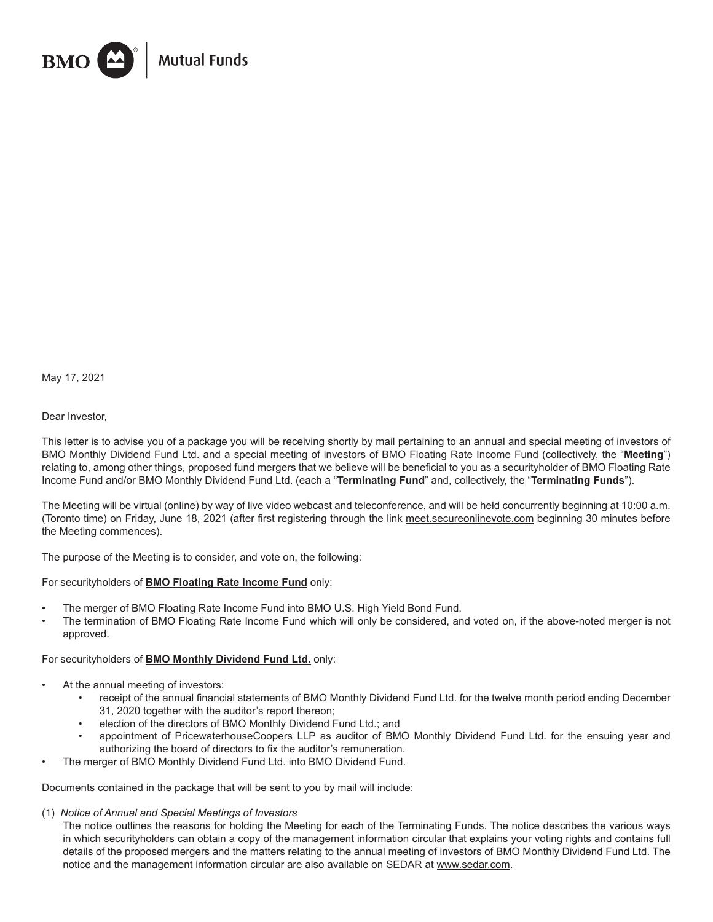

May 17, 2021

# Dear Investor,

This letter is to advise you of a package you will be receiving shortly by mail pertaining to an annual and special meeting of investors of BMO Monthly Dividend Fund Ltd. and a special meeting of investors of BMO Floating Rate Income Fund (collectively, the "**Meeting**") relating to, among other things, proposed fund mergers that we believe will be beneficial to you as a securityholder of BMO Floating Rate Income Fund and/or BMO Monthly Dividend Fund Ltd. (each a "**Terminating Fund**" and, collectively, the "**Terminating Funds**").

The Meeting will be virtual (online) by way of live video webcast and teleconference, and will be held concurrently beginning at 10:00 a.m. (Toronto time) on Friday, June 18, 2021 (after first registering through the link meet.secureonlinevote.com beginning 30 minutes before the Meeting commences).

The purpose of the Meeting is to consider, and vote on, the following:

# For securityholders of **BMO Floating Rate Income Fund** only:

- The merger of BMO Floating Rate Income Fund into BMO U.S. High Yield Bond Fund.
- The termination of BMO Floating Rate Income Fund which will only be considered, and voted on, if the above-noted merger is not approved.

# For securityholders of **BMO Monthly Dividend Fund Ltd.** only:

- At the annual meeting of investors:
	- receipt of the annual financial statements of BMO Monthly Dividend Fund Ltd. for the twelve month period ending December 31, 2020 together with the auditor's report thereon;
	- election of the directors of BMO Monthly Dividend Fund Ltd.; and
	- appointment of PricewaterhouseCoopers LLP as auditor of BMO Monthly Dividend Fund Ltd. for the ensuing year and authorizing the board of directors to fix the auditor's remuneration.
	- The merger of BMO Monthly Dividend Fund Ltd. into BMO Dividend Fund.

Documents contained in the package that will be sent to you by mail will include:

(1) *Notice of Annual and Special Meetings of Investors*

The notice outlines the reasons for holding the Meeting for each of the Terminating Funds. The notice describes the various ways in which securityholders can obtain a copy of the management information circular that explains your voting rights and contains full details of the proposed mergers and the matters relating to the annual meeting of investors of BMO Monthly Dividend Fund Ltd. The notice and the management information circular are also available on SEDAR at www.sedar.com.